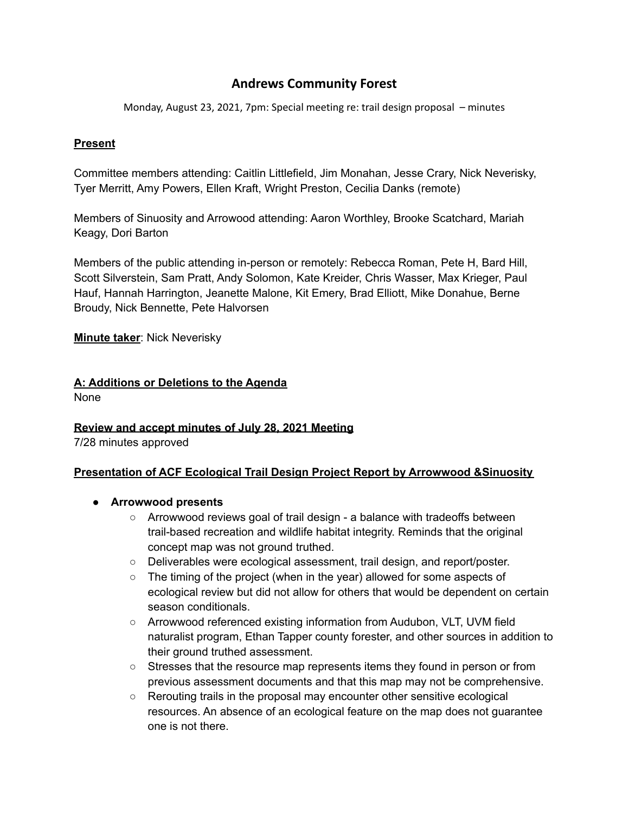# **Andrews Community Forest**

Monday, August 23, 2021, 7pm: Special meeting re: trail design proposal – minutes

#### **Present**

Committee members attending: Caitlin Littlefield, Jim Monahan, Jesse Crary, Nick Neverisky, Tyer Merritt, Amy Powers, Ellen Kraft, Wright Preston, Cecilia Danks (remote)

Members of Sinuosity and Arrowood attending: Aaron Worthley, Brooke Scatchard, Mariah Keagy, Dori Barton

Members of the public attending in-person or remotely: Rebecca Roman, Pete H, Bard Hill, Scott Silverstein, Sam Pratt, Andy Solomon, Kate Kreider, Chris Wasser, Max Krieger, Paul Hauf, Hannah Harrington, Jeanette Malone, Kit Emery, Brad Elliott, Mike Donahue, Berne Broudy, Nick Bennette, Pete Halvorsen

#### **Minute taker**: Nick Neverisky

## **A: Additions or Deletions to the Agenda**

None

#### **Review and accept minutes of July 28, 2021 Meeting**

7/28 minutes approved

#### **Presentation of ACF Ecological Trail Design Project Report by Arrowwood &Sinuosity**

- **● Arrowwood presents**
	- $\circ$  Arrowwood reviews goal of trail design a balance with tradeoffs between trail-based recreation and wildlife habitat integrity. Reminds that the original concept map was not ground truthed.
	- Deliverables were ecological assessment, trail design, and report/poster.
	- The timing of the project (when in the year) allowed for some aspects of ecological review but did not allow for others that would be dependent on certain season conditionals.
	- Arrowwood referenced existing information from Audubon, VLT, UVM field naturalist program, Ethan Tapper county forester, and other sources in addition to their ground truthed assessment.
	- Stresses that the resource map represents items they found in person or from previous assessment documents and that this map may not be comprehensive.
	- Rerouting trails in the proposal may encounter other sensitive ecological resources. An absence of an ecological feature on the map does not guarantee one is not there.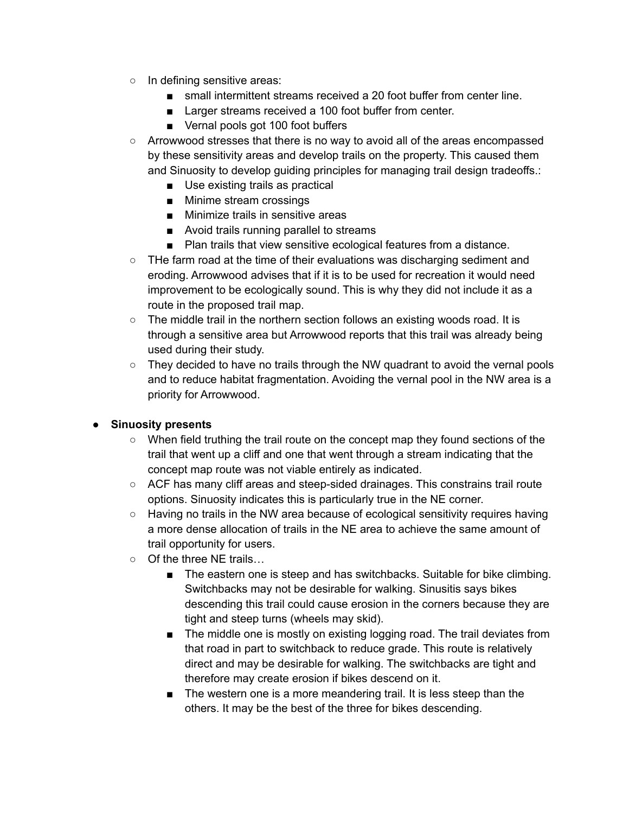- In defining sensitive areas:
	- small intermittent streams received a 20 foot buffer from center line.
	- Larger streams received a 100 foot buffer from center.
	- Vernal pools got 100 foot buffers
- Arrowwood stresses that there is no way to avoid all of the areas encompassed by these sensitivity areas and develop trails on the property. This caused them and Sinuosity to develop guiding principles for managing trail design tradeoffs.:
	- Use existing trails as practical
	- Minime stream crossings
	- Minimize trails in sensitive areas
	- Avoid trails running parallel to streams
	- Plan trails that view sensitive ecological features from a distance.
- THe farm road at the time of their evaluations was discharging sediment and eroding. Arrowwood advises that if it is to be used for recreation it would need improvement to be ecologically sound. This is why they did not include it as a route in the proposed trail map.
- $\circ$  The middle trail in the northern section follows an existing woods road. It is through a sensitive area but Arrowwood reports that this trail was already being used during their study.
- They decided to have no trails through the NW quadrant to avoid the vernal pools and to reduce habitat fragmentation. Avoiding the vernal pool in the NW area is a priority for Arrowwood.

#### **● Sinuosity presents**

- When field truthing the trail route on the concept map they found sections of the trail that went up a cliff and one that went through a stream indicating that the concept map route was not viable entirely as indicated.
- ACF has many cliff areas and steep-sided drainages. This constrains trail route options. Sinuosity indicates this is particularly true in the NE corner.
- Having no trails in the NW area because of ecological sensitivity requires having a more dense allocation of trails in the NE area to achieve the same amount of trail opportunity for users.
- Of the three NE trails...
	- The eastern one is steep and has switchbacks. Suitable for bike climbing. Switchbacks may not be desirable for walking. Sinusitis says bikes descending this trail could cause erosion in the corners because they are tight and steep turns (wheels may skid).
	- The middle one is mostly on existing logging road. The trail deviates from that road in part to switchback to reduce grade. This route is relatively direct and may be desirable for walking. The switchbacks are tight and therefore may create erosion if bikes descend on it.
	- The western one is a more meandering trail. It is less steep than the others. It may be the best of the three for bikes descending.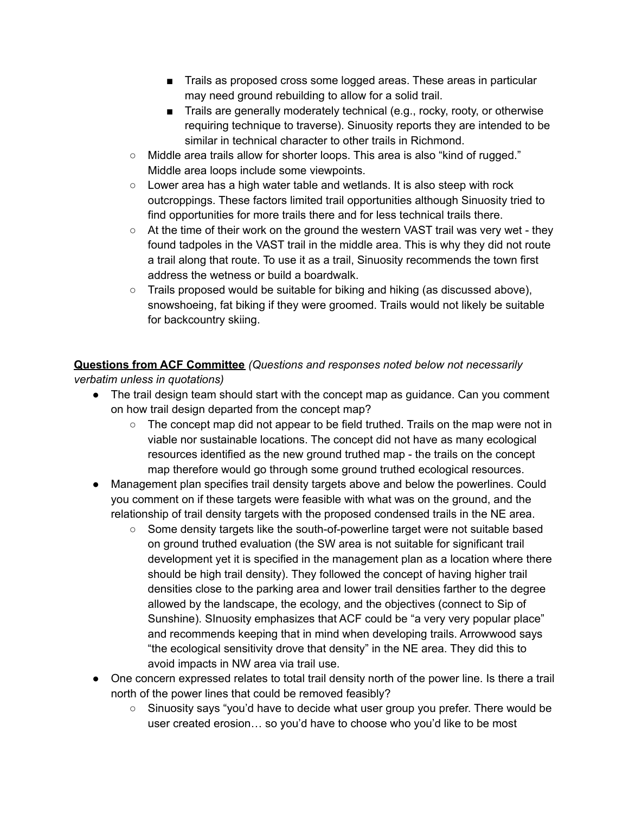- Trails as proposed cross some logged areas. These areas in particular may need ground rebuilding to allow for a solid trail.
- Trails are generally moderately technical (e.g., rocky, rooty, or otherwise requiring technique to traverse). Sinuosity reports they are intended to be similar in technical character to other trails in Richmond.
- Middle area trails allow for shorter loops. This area is also "kind of rugged." Middle area loops include some viewpoints.
- $\circ$  Lower area has a high water table and wetlands. It is also steep with rock outcroppings. These factors limited trail opportunities although Sinuosity tried to find opportunities for more trails there and for less technical trails there.
- $\circ$  At the time of their work on the ground the western VAST trail was very wet they found tadpoles in the VAST trail in the middle area. This is why they did not route a trail along that route. To use it as a trail, Sinuosity recommends the town first address the wetness or build a boardwalk.
- $\circ$  Trails proposed would be suitable for biking and hiking (as discussed above), snowshoeing, fat biking if they were groomed. Trails would not likely be suitable for backcountry skiing.

**Questions from ACF Committee** *(Questions and responses noted below not necessarily verbatim unless in quotations)*

- The trail design team should start with the concept map as guidance. Can you comment on how trail design departed from the concept map?
	- The concept map did not appear to be field truthed. Trails on the map were not in viable nor sustainable locations. The concept did not have as many ecological resources identified as the new ground truthed map - the trails on the concept map therefore would go through some ground truthed ecological resources.
- Management plan specifies trail density targets above and below the powerlines. Could you comment on if these targets were feasible with what was on the ground, and the relationship of trail density targets with the proposed condensed trails in the NE area.
	- Some density targets like the south-of-powerline target were not suitable based on ground truthed evaluation (the SW area is not suitable for significant trail development yet it is specified in the management plan as a location where there should be high trail density). They followed the concept of having higher trail densities close to the parking area and lower trail densities farther to the degree allowed by the landscape, the ecology, and the objectives (connect to Sip of Sunshine). SInuosity emphasizes that ACF could be "a very very popular place" and recommends keeping that in mind when developing trails. Arrowwood says "the ecological sensitivity drove that density" in the NE area. They did this to avoid impacts in NW area via trail use.
- One concern expressed relates to total trail density north of the power line. Is there a trail north of the power lines that could be removed feasibly?
	- Sinuosity says "you'd have to decide what user group you prefer. There would be user created erosion… so you'd have to choose who you'd like to be most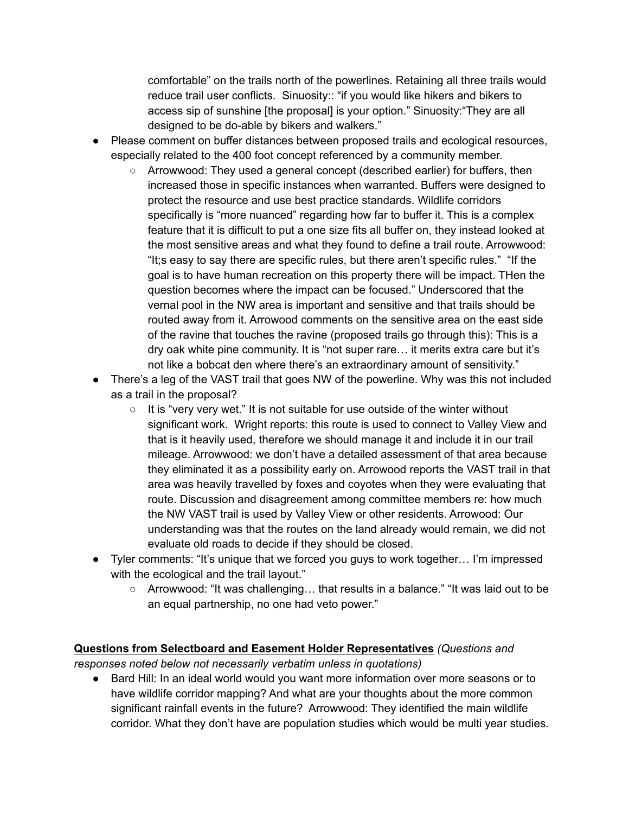comfortable" on the trails north of the powerlines. Retaining all three trails would reduce trail user conflicts. Sinuosity:: "if you would like hikers and bikers to access sip of sunshine [the proposal] is your option." Sinuosity:"They are all designed to be do-able by bikers and walkers."

- Please comment on buffer distances between proposed trails and ecological resources, especially related to the 400 foot concept referenced by a community member.
	- Arrowwood: They used a general concept (described earlier) for buffers, then increased those in specific instances when warranted. Buffers were designed to protect the resource and use best practice standards. Wildlife corridors specifically is "more nuanced" regarding how far to buffer it. This is a complex feature that it is difficult to put a one size fits all buffer on, they instead looked at the most sensitive areas and what they found to define a trail route. Arrowwood: "It;s easy to say there are specific rules, but there aren't specific rules." "If the goal is to have human recreation on this property there will be impact. THen the question becomes where the impact can be focused." Underscored that the vernal pool in the NW area is important and sensitive and that trails should be routed away from it. Arrowood comments on the sensitive area on the east side of the ravine that touches the ravine (proposed trails go through this): This is a dry oak white pine community. It is "not super rare… it merits extra care but it's not like a bobcat den where there's an extraordinary amount of sensitivity."
- There's a leg of the VAST trail that goes NW of the powerline. Why was this not included as a trail in the proposal?
	- It is "very very wet." It is not suitable for use outside of the winter without significant work. Wright reports: this route is used to connect to Valley View and that is it heavily used, therefore we should manage it and include it in our trail mileage. Arrowwood: we don't have a detailed assessment of that area because they eliminated it as a possibility early on. Arrowood reports the VAST trail in that area was heavily travelled by foxes and coyotes when they were evaluating that route. Discussion and disagreement among committee members re: how much the NW VAST trail is used by Valley View or other residents. Arrowood: Our understanding was that the routes on the land already would remain, we did not evaluate old roads to decide if they should be closed.
- Tyler comments: "It's unique that we forced you guys to work together… I'm impressed with the ecological and the trail layout."
	- $\circ$  Arrowwood: "It was challenging... that results in a balance." "It was laid out to be an equal partnership, no one had veto power."

## **Questions from Selectboard and Easement Holder Representatives** *(Questions and*

*responses noted below not necessarily verbatim unless in quotations)*

● Bard Hill: In an ideal world would you want more information over more seasons or to have wildlife corridor mapping? And what are your thoughts about the more common significant rainfall events in the future? Arrowwood: They identified the main wildlife corridor. What they don't have are population studies which would be multi year studies.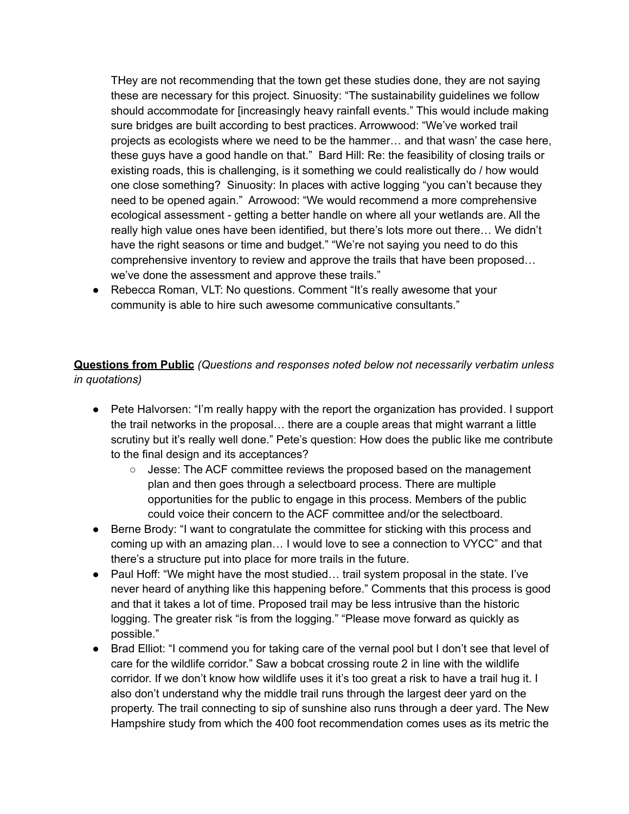THey are not recommending that the town get these studies done, they are not saying these are necessary for this project. Sinuosity: "The sustainability guidelines we follow should accommodate for [increasingly heavy rainfall events." This would include making sure bridges are built according to best practices. Arrowwood: "We've worked trail projects as ecologists where we need to be the hammer… and that wasn' the case here, these guys have a good handle on that." Bard Hill: Re: the feasibility of closing trails or existing roads, this is challenging, is it something we could realistically do / how would one close something? Sinuosity: In places with active logging "you can't because they need to be opened again." Arrowood: "We would recommend a more comprehensive ecological assessment - getting a better handle on where all your wetlands are. All the really high value ones have been identified, but there's lots more out there… We didn't have the right seasons or time and budget." "We're not saying you need to do this comprehensive inventory to review and approve the trails that have been proposed… we've done the assessment and approve these trails."

• Rebecca Roman, VLT: No questions. Comment "It's really awesome that your community is able to hire such awesome communicative consultants."

**Questions from Public** *(Questions and responses noted below not necessarily verbatim unless in quotations)*

- Pete Halvorsen: "I'm really happy with the report the organization has provided. I support the trail networks in the proposal… there are a couple areas that might warrant a little scrutiny but it's really well done." Pete's question: How does the public like me contribute to the final design and its acceptances?
	- Jesse: The ACF committee reviews the proposed based on the management plan and then goes through a selectboard process. There are multiple opportunities for the public to engage in this process. Members of the public could voice their concern to the ACF committee and/or the selectboard.
- Berne Brody: "I want to congratulate the committee for sticking with this process and coming up with an amazing plan… I would love to see a connection to VYCC" and that there's a structure put into place for more trails in the future.
- Paul Hoff: "We might have the most studied... trail system proposal in the state. I've never heard of anything like this happening before." Comments that this process is good and that it takes a lot of time. Proposed trail may be less intrusive than the historic logging. The greater risk "is from the logging." "Please move forward as quickly as possible."
- Brad Elliot: "I commend you for taking care of the vernal pool but I don't see that level of care for the wildlife corridor." Saw a bobcat crossing route 2 in line with the wildlife corridor. If we don't know how wildlife uses it it's too great a risk to have a trail hug it. I also don't understand why the middle trail runs through the largest deer yard on the property. The trail connecting to sip of sunshine also runs through a deer yard. The New Hampshire study from which the 400 foot recommendation comes uses as its metric the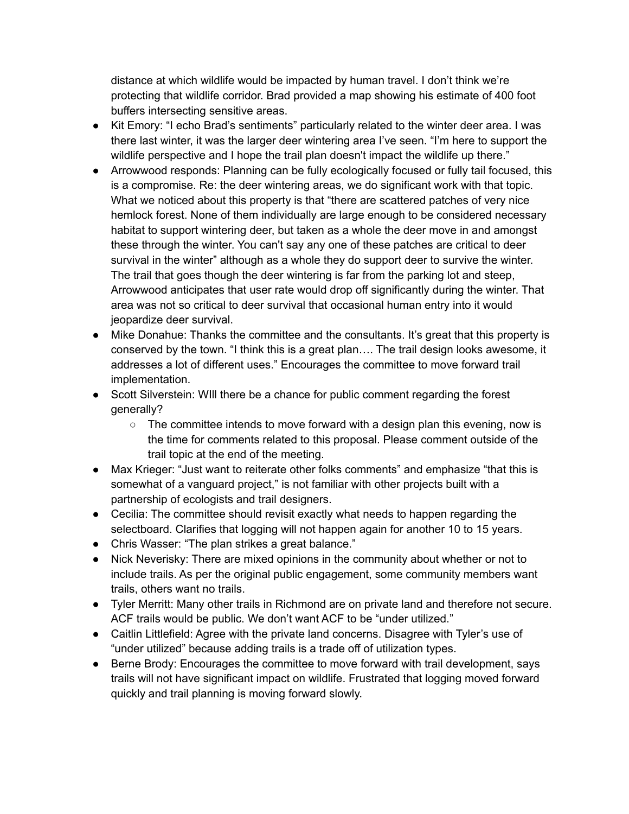distance at which wildlife would be impacted by human travel. I don't think we're protecting that wildlife corridor. Brad provided a map showing his estimate of 400 foot buffers intersecting sensitive areas.

- Kit Emory: "I echo Brad's sentiments" particularly related to the winter deer area. I was there last winter, it was the larger deer wintering area I've seen. "I'm here to support the wildlife perspective and I hope the trail plan doesn't impact the wildlife up there."
- Arrowwood responds: Planning can be fully ecologically focused or fully tail focused, this is a compromise. Re: the deer wintering areas, we do significant work with that topic. What we noticed about this property is that "there are scattered patches of very nice hemlock forest. None of them individually are large enough to be considered necessary habitat to support wintering deer, but taken as a whole the deer move in and amongst these through the winter. You can't say any one of these patches are critical to deer survival in the winter" although as a whole they do support deer to survive the winter. The trail that goes though the deer wintering is far from the parking lot and steep, Arrowwood anticipates that user rate would drop off significantly during the winter. That area was not so critical to deer survival that occasional human entry into it would jeopardize deer survival.
- Mike Donahue: Thanks the committee and the consultants. It's great that this property is conserved by the town. "I think this is a great plan…. The trail design looks awesome, it addresses a lot of different uses." Encourages the committee to move forward trail implementation.
- Scott Silverstein: WIll there be a chance for public comment regarding the forest generally?
	- $\circ$  The committee intends to move forward with a design plan this evening, now is the time for comments related to this proposal. Please comment outside of the trail topic at the end of the meeting.
- Max Krieger: "Just want to reiterate other folks comments" and emphasize "that this is somewhat of a vanguard project," is not familiar with other projects built with a partnership of ecologists and trail designers.
- Cecilia: The committee should revisit exactly what needs to happen regarding the selectboard. Clarifies that logging will not happen again for another 10 to 15 years.
- Chris Wasser: "The plan strikes a great balance."
- Nick Neverisky: There are mixed opinions in the community about whether or not to include trails. As per the original public engagement, some community members want trails, others want no trails.
- Tyler Merritt: Many other trails in Richmond are on private land and therefore not secure. ACF trails would be public. We don't want ACF to be "under utilized."
- Caitlin Littlefield: Agree with the private land concerns. Disagree with Tyler's use of "under utilized" because adding trails is a trade off of utilization types.
- Berne Brody: Encourages the committee to move forward with trail development, says trails will not have significant impact on wildlife. Frustrated that logging moved forward quickly and trail planning is moving forward slowly.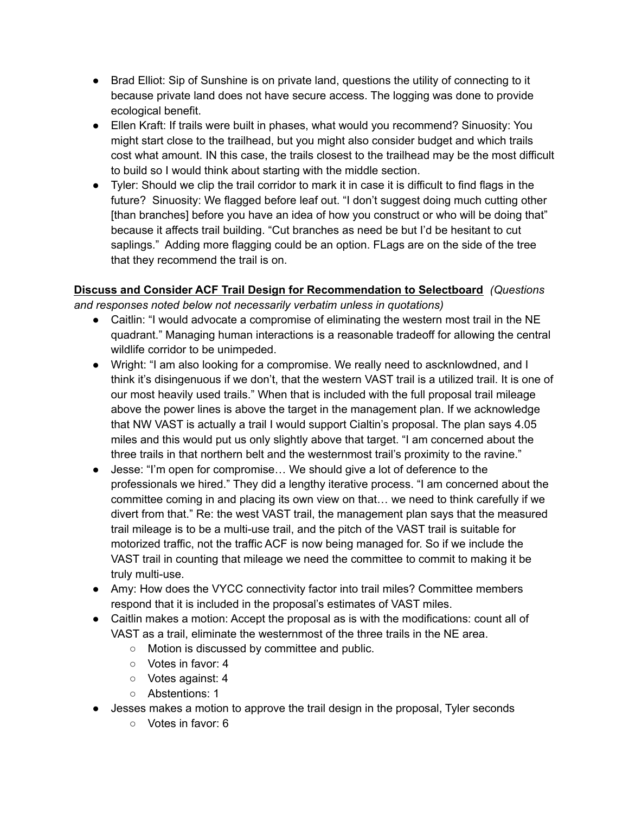- Brad Elliot: Sip of Sunshine is on private land, questions the utility of connecting to it because private land does not have secure access. The logging was done to provide ecological benefit.
- Ellen Kraft: If trails were built in phases, what would you recommend? Sinuosity: You might start close to the trailhead, but you might also consider budget and which trails cost what amount. IN this case, the trails closest to the trailhead may be the most difficult to build so I would think about starting with the middle section.
- Tyler: Should we clip the trail corridor to mark it in case it is difficult to find flags in the future? Sinuosity: We flagged before leaf out. "I don't suggest doing much cutting other [than branches] before you have an idea of how you construct or who will be doing that" because it affects trail building. "Cut branches as need be but I'd be hesitant to cut saplings." Adding more flagging could be an option. FLags are on the side of the tree that they recommend the trail is on.

**Discuss and Consider ACF Trail Design for Recommendation to Selectboard** *(Questions and responses noted below not necessarily verbatim unless in quotations)*

- Caitlin: "I would advocate a compromise of eliminating the western most trail in the NE quadrant." Managing human interactions is a reasonable tradeoff for allowing the central wildlife corridor to be unimpeded.
- Wright: "I am also looking for a compromise. We really need to ascknlowdned, and I think it's disingenuous if we don't, that the western VAST trail is a utilized trail. It is one of our most heavily used trails." When that is included with the full proposal trail mileage above the power lines is above the target in the management plan. If we acknowledge that NW VAST is actually a trail I would support Cialtin's proposal. The plan says 4.05 miles and this would put us only slightly above that target. "I am concerned about the three trails in that northern belt and the westernmost trail's proximity to the ravine."
- Jesse: "I'm open for compromise… We should give a lot of deference to the professionals we hired." They did a lengthy iterative process. "I am concerned about the committee coming in and placing its own view on that… we need to think carefully if we divert from that." Re: the west VAST trail, the management plan says that the measured trail mileage is to be a multi-use trail, and the pitch of the VAST trail is suitable for motorized traffic, not the traffic ACF is now being managed for. So if we include the VAST trail in counting that mileage we need the committee to commit to making it be truly multi-use.
- Amy: How does the VYCC connectivity factor into trail miles? Committee members respond that it is included in the proposal's estimates of VAST miles.
- Caitlin makes a motion: Accept the proposal as is with the modifications: count all of VAST as a trail, eliminate the westernmost of the three trails in the NE area.
	- Motion is discussed by committee and public.
	- Votes in favor: 4
	- Votes against: 4
	- Abstentions: 1
	- Jesses makes a motion to approve the trail design in the proposal, Tyler seconds
		- Votes in favor: 6